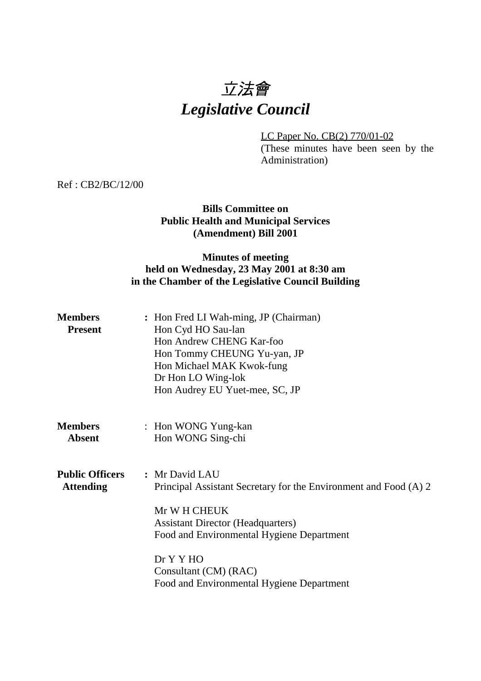# 立法會 *Legislative Council*

LC Paper No. CB(2) 770/01-02

(These minutes have been seen by the Administration)

Ref : CB2/BC/12/00

## **Bills Committee on Public Health and Municipal Services (Amendment) Bill 2001**

## **Minutes of meeting held on Wednesday, 23 May 2001 at 8:30 am in the Chamber of the Legislative Council Building**

| <b>Members</b><br><b>Present</b>           | : Hon Fred LI Wah-ming, JP (Chairman)<br>Hon Cyd HO Sau-lan<br>Hon Andrew CHENG Kar-foo<br>Hon Tommy CHEUNG Yu-yan, JP<br>Hon Michael MAK Kwok-fung<br>Dr Hon LO Wing-lok<br>Hon Audrey EU Yuet-mee, SC, JP                                                                    |
|--------------------------------------------|--------------------------------------------------------------------------------------------------------------------------------------------------------------------------------------------------------------------------------------------------------------------------------|
| <b>Members</b><br><b>Absent</b>            | : Hon WONG Yung-kan<br>Hon WONG Sing-chi                                                                                                                                                                                                                                       |
| <b>Public Officers</b><br><b>Attending</b> | : Mr David LAU<br>Principal Assistant Secretary for the Environment and Food (A) 2<br>Mr W H CHEUK<br><b>Assistant Director (Headquarters)</b><br>Food and Environmental Hygiene Department<br>Dr Y Y HO<br>Consultant (CM) (RAC)<br>Food and Environmental Hygiene Department |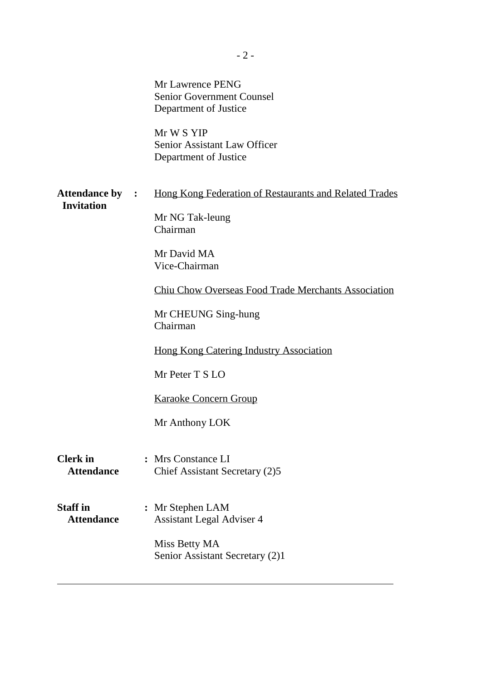|                                             | Mr Lawrence PENG<br><b>Senior Government Counsel</b><br>Department of Justice<br>Mr W S YIP<br>Senior Assistant Law Officer<br>Department of Justice                                                                 |
|---------------------------------------------|----------------------------------------------------------------------------------------------------------------------------------------------------------------------------------------------------------------------|
| <b>Attendance by :</b><br><b>Invitation</b> | Hong Kong Federation of Restaurants and Related Trades<br>Mr NG Tak-leung<br>Chairman<br>Mr David MA<br>Vice-Chairman                                                                                                |
|                                             | <b>Chiu Chow Overseas Food Trade Merchants Association</b><br>Mr CHEUNG Sing-hung<br>Chairman<br><b>Hong Kong Catering Industry Association</b><br>Mr Peter T S LO<br><b>Karaoke Concern Group</b><br>Mr Anthony LOK |
| <b>Clerk</b> in<br><b>Attendance</b>        | : Mrs Constance LI<br>Chief Assistant Secretary (2)5                                                                                                                                                                 |
| <b>Staff in</b><br><b>Attendance</b>        | : Mr Stephen LAM<br><b>Assistant Legal Adviser 4</b><br>Miss Betty MA<br>Senior Assistant Secretary (2)1                                                                                                             |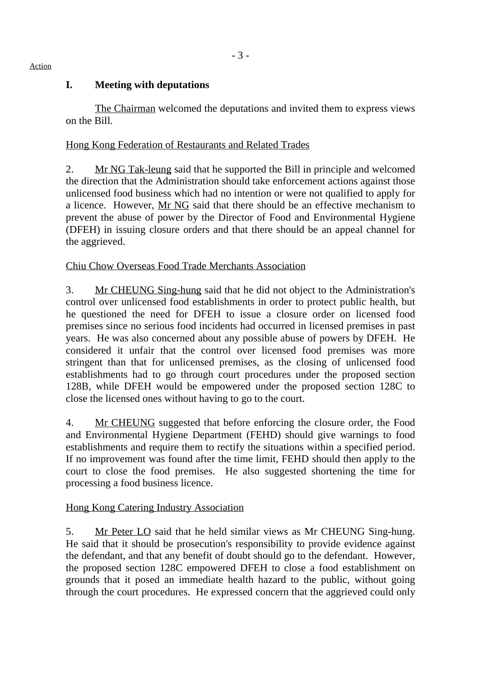## **I. Meeting with deputations**

The Chairman welcomed the deputations and invited them to express views on the Bill.

## Hong Kong Federation of Restaurants and Related Trades

2. Mr NG Tak-leung said that he supported the Bill in principle and welcomed the direction that the Administration should take enforcement actions against those unlicensed food business which had no intention or were not qualified to apply for a licence. However, Mr NG said that there should be an effective mechanism to prevent the abuse of power by the Director of Food and Environmental Hygiene (DFEH) in issuing closure orders and that there should be an appeal channel for the aggrieved.

# Chiu Chow Overseas Food Trade Merchants Association

3. Mr CHEUNG Sing-hung said that he did not object to the Administration's control over unlicensed food establishments in order to protect public health, but he questioned the need for DFEH to issue a closure order on licensed food premises since no serious food incidents had occurred in licensed premises in past years. He was also concerned about any possible abuse of powers by DFEH. He considered it unfair that the control over licensed food premises was more stringent than that for unlicensed premises, as the closing of unlicensed food establishments had to go through court procedures under the proposed section 128B, while DFEH would be empowered under the proposed section 128C to close the licensed ones without having to go to the court.

4. Mr CHEUNG suggested that before enforcing the closure order, the Food and Environmental Hygiene Department (FEHD) should give warnings to food establishments and require them to rectify the situations within a specified period. If no improvement was found after the time limit, FEHD should then apply to the court to close the food premises. He also suggested shortening the time for processing a food business licence.

# Hong Kong Catering Industry Association

5. Mr Peter LO said that he held similar views as Mr CHEUNG Sing-hung. He said that it should be prosecution's responsibility to provide evidence against the defendant, and that any benefit of doubt should go to the defendant. However, the proposed section 128C empowered DFEH to close a food establishment on grounds that it posed an immediate health hazard to the public, without going through the court procedures. He expressed concern that the aggrieved could only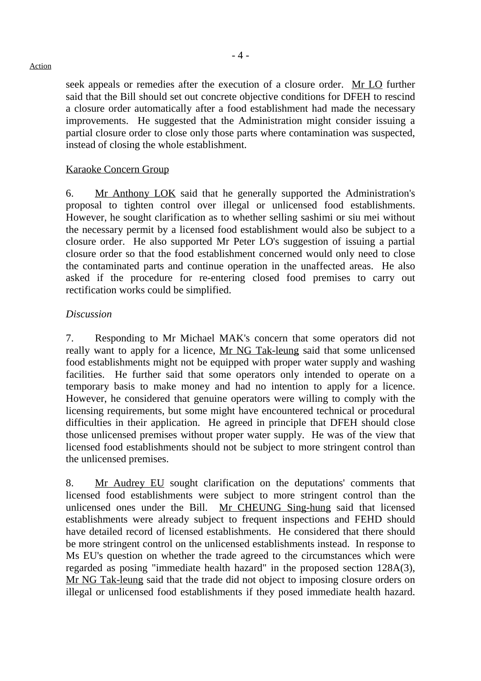seek appeals or remedies after the execution of a closure order. Mr LO further said that the Bill should set out concrete objective conditions for DFEH to rescind a closure order automatically after a food establishment had made the necessary improvements. He suggested that the Administration might consider issuing a partial closure order to close only those parts where contamination was suspected, instead of closing the whole establishment.

### Karaoke Concern Group

6. Mr Anthony LOK said that he generally supported the Administration's proposal to tighten control over illegal or unlicensed food establishments. However, he sought clarification as to whether selling sashimi or siu mei without the necessary permit by a licensed food establishment would also be subject to a closure order. He also supported Mr Peter LO's suggestion of issuing a partial closure order so that the food establishment concerned would only need to close the contaminated parts and continue operation in the unaffected areas. He also asked if the procedure for re-entering closed food premises to carry out rectification works could be simplified.

#### *Discussion*

7. Responding to Mr Michael MAK's concern that some operators did not really want to apply for a licence, Mr NG Tak-leung said that some unlicensed food establishments might not be equipped with proper water supply and washing facilities. He further said that some operators only intended to operate on a temporary basis to make money and had no intention to apply for a licence. However, he considered that genuine operators were willing to comply with the licensing requirements, but some might have encountered technical or procedural difficulties in their application. He agreed in principle that DFEH should close those unlicensed premises without proper water supply. He was of the view that licensed food establishments should not be subject to more stringent control than the unlicensed premises.

8. Mr Audrey EU sought clarification on the deputations' comments that licensed food establishments were subject to more stringent control than the unlicensed ones under the Bill. Mr CHEUNG Sing-hung said that licensed establishments were already subject to frequent inspections and FEHD should have detailed record of licensed establishments. He considered that there should be more stringent control on the unlicensed establishments instead. In response to Ms EU's question on whether the trade agreed to the circumstances which were regarded as posing "immediate health hazard" in the proposed section 128A(3), Mr NG Tak-leung said that the trade did not object to imposing closure orders on illegal or unlicensed food establishments if they posed immediate health hazard.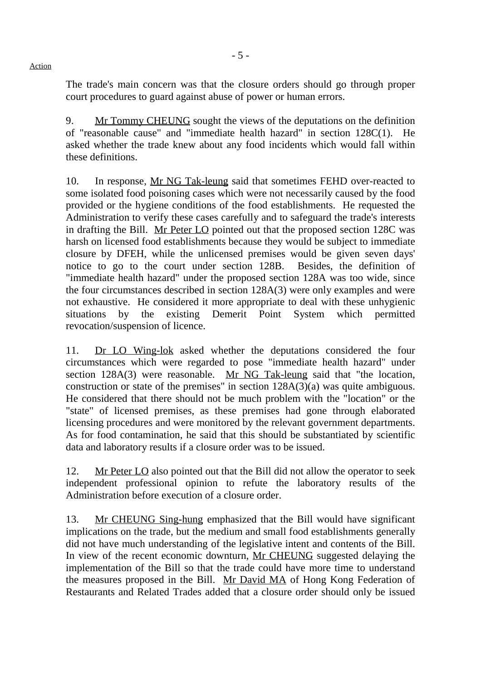The trade's main concern was that the closure orders should go through proper court procedures to guard against abuse of power or human errors.

9. Mr Tommy CHEUNG sought the views of the deputations on the definition of "reasonable cause" and "immediate health hazard" in section 128C(1). He asked whether the trade knew about any food incidents which would fall within these definitions.

10. In response, Mr NG Tak-leung said that sometimes FEHD over-reacted to some isolated food poisoning cases which were not necessarily caused by the food provided or the hygiene conditions of the food establishments. He requested the Administration to verify these cases carefully and to safeguard the trade's interests in drafting the Bill. Mr Peter LO pointed out that the proposed section 128C was harsh on licensed food establishments because they would be subject to immediate closure by DFEH, while the unlicensed premises would be given seven days' notice to go to the court under section 128B. Besides, the definition of "immediate health hazard" under the proposed section 128A was too wide, since the four circumstances described in section 128A(3) were only examples and were not exhaustive. He considered it more appropriate to deal with these unhygienic situations by the existing Demerit Point System which permitted revocation/suspension of licence.

11. Dr LO Wing-lok asked whether the deputations considered the four circumstances which were regarded to pose "immediate health hazard" under section 128A(3) were reasonable. Mr NG Tak-leung said that "the location, construction or state of the premises" in section 128A(3)(a) was quite ambiguous. He considered that there should not be much problem with the "location" or the "state" of licensed premises, as these premises had gone through elaborated licensing procedures and were monitored by the relevant government departments. As for food contamination, he said that this should be substantiated by scientific data and laboratory results if a closure order was to be issued.

12. Mr Peter LO also pointed out that the Bill did not allow the operator to seek independent professional opinion to refute the laboratory results of the Administration before execution of a closure order.

13. Mr CHEUNG Sing-hung emphasized that the Bill would have significant implications on the trade, but the medium and small food establishments generally did not have much understanding of the legislative intent and contents of the Bill. In view of the recent economic downturn, Mr CHEUNG suggested delaying the implementation of the Bill so that the trade could have more time to understand the measures proposed in the Bill. Mr David MA of Hong Kong Federation of Restaurants and Related Trades added that a closure order should only be issued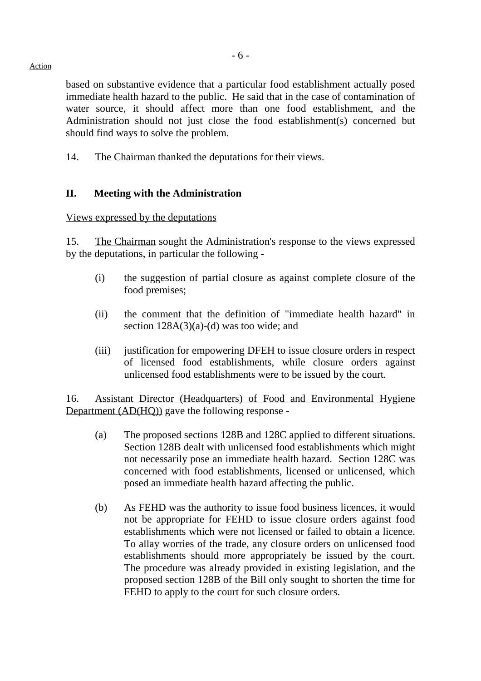based on substantive evidence that a particular food establishment actually posed immediate health hazard to the public. He said that in the case of contamination of water source, it should affect more than one food establishment, and the Administration should not just close the food establishment(s) concerned but should find ways to solve the problem.

14. The Chairman thanked the deputations for their views.

#### **II. Meeting with the Administration**

#### Views expressed by the deputations

15. The Chairman sought the Administration's response to the views expressed by the deputations, in particular the following -

- (i) the suggestion of partial closure as against complete closure of the food premises;
- (ii) the comment that the definition of "immediate health hazard" in section  $128A(3)(a)-(d)$  was too wide; and
- (iii) justification for empowering DFEH to issue closure orders in respect of licensed food establishments, while closure orders against unlicensed food establishments were to be issued by the court.

16. Assistant Director (Headquarters) of Food and Environmental Hygiene Department (AD(HQ)) gave the following response -

- (a) The proposed sections 128B and 128C applied to different situations. Section 128B dealt with unlicensed food establishments which might not necessarily pose an immediate health hazard. Section 128C was concerned with food establishments, licensed or unlicensed, which posed an immediate health hazard affecting the public.
- (b) As FEHD was the authority to issue food business licences, it would not be appropriate for FEHD to issue closure orders against food establishments which were not licensed or failed to obtain a licence. To allay worries of the trade, any closure orders on unlicensed food establishments should more appropriately be issued by the court. The procedure was already provided in existing legislation, and the proposed section 128B of the Bill only sought to shorten the time for FEHD to apply to the court for such closure orders.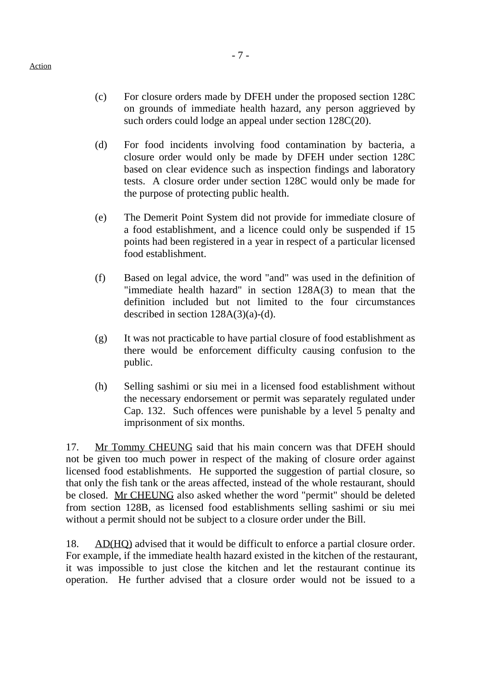- (c) For closure orders made by DFEH under the proposed section 128C on grounds of immediate health hazard, any person aggrieved by such orders could lodge an appeal under section 128C(20).
- (d) For food incidents involving food contamination by bacteria, a closure order would only be made by DFEH under section 128C based on clear evidence such as inspection findings and laboratory tests. A closure order under section 128C would only be made for the purpose of protecting public health.
- (e) The Demerit Point System did not provide for immediate closure of a food establishment, and a licence could only be suspended if 15 points had been registered in a year in respect of a particular licensed food establishment.
- (f) Based on legal advice, the word "and" was used in the definition of "immediate health hazard" in section 128A(3) to mean that the definition included but not limited to the four circumstances described in section  $128A(3)(a)-(d)$ .
- (g) It was not practicable to have partial closure of food establishment as there would be enforcement difficulty causing confusion to the public.
- (h) Selling sashimi or siu mei in a licensed food establishment without the necessary endorsement or permit was separately regulated under Cap. 132. Such offences were punishable by a level 5 penalty and imprisonment of six months.

17. Mr Tommy CHEUNG said that his main concern was that DFEH should not be given too much power in respect of the making of closure order against licensed food establishments. He supported the suggestion of partial closure, so that only the fish tank or the areas affected, instead of the whole restaurant, should be closed. Mr CHEUNG also asked whether the word "permit" should be deleted from section 128B, as licensed food establishments selling sashimi or siu mei without a permit should not be subject to a closure order under the Bill.

18. AD(HQ) advised that it would be difficult to enforce a partial closure order. For example, if the immediate health hazard existed in the kitchen of the restaurant, it was impossible to just close the kitchen and let the restaurant continue its operation. He further advised that a closure order would not be issued to a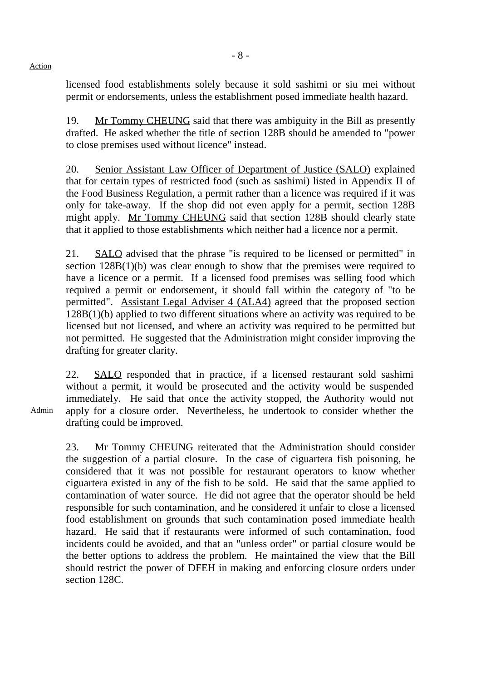licensed food establishments solely because it sold sashimi or siu mei without permit or endorsements, unless the establishment posed immediate health hazard.

19. Mr Tommy CHEUNG said that there was ambiguity in the Bill as presently drafted. He asked whether the title of section 128B should be amended to "power to close premises used without licence" instead.

20. Senior Assistant Law Officer of Department of Justice (SALO) explained that for certain types of restricted food (such as sashimi) listed in Appendix II of the Food Business Regulation, a permit rather than a licence was required if it was only for take-away. If the shop did not even apply for a permit, section 128B might apply. Mr Tommy CHEUNG said that section 128B should clearly state that it applied to those establishments which neither had a licence nor a permit.

21. SALO advised that the phrase "is required to be licensed or permitted" in section 128B(1)(b) was clear enough to show that the premises were required to have a licence or a permit. If a licensed food premises was selling food which required a permit or endorsement, it should fall within the category of "to be permitted". Assistant Legal Adviser 4 (ALA4) agreed that the proposed section 128B(1)(b) applied to two different situations where an activity was required to be licensed but not licensed, and where an activity was required to be permitted but not permitted. He suggested that the Administration might consider improving the drafting for greater clarity.

22. SALO responded that in practice, if a licensed restaurant sold sashimi without a permit, it would be prosecuted and the activity would be suspended immediately. He said that once the activity stopped, the Authority would not apply for a closure order. Nevertheless, he undertook to consider whether the drafting could be improved.

23. Mr Tommy CHEUNG reiterated that the Administration should consider the suggestion of a partial closure. In the case of ciguartera fish poisoning, he considered that it was not possible for restaurant operators to know whether ciguartera existed in any of the fish to be sold. He said that the same applied to contamination of water source. He did not agree that the operator should be held responsible for such contamination, and he considered it unfair to close a licensed food establishment on grounds that such contamination posed immediate health hazard. He said that if restaurants were informed of such contamination, food incidents could be avoided, and that an "unless order" or partial closure would be the better options to address the problem. He maintained the view that the Bill should restrict the power of DFEH in making and enforcing closure orders under section 128C.

Admin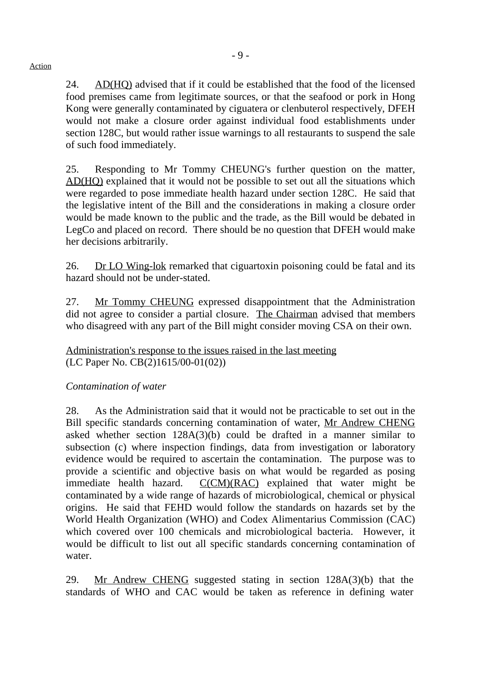24. AD(HQ) advised that if it could be established that the food of the licensed food premises came from legitimate sources, or that the seafood or pork in Hong Kong were generally contaminated by ciguatera or clenbuterol respectively, DFEH would not make a closure order against individual food establishments under section 128C, but would rather issue warnings to all restaurants to suspend the sale of such food immediately.

25. Responding to Mr Tommy CHEUNG's further question on the matter, AD(HQ) explained that it would not be possible to set out all the situations which were regarded to pose immediate health hazard under section 128C. He said that the legislative intent of the Bill and the considerations in making a closure order would be made known to the public and the trade, as the Bill would be debated in LegCo and placed on record. There should be no question that DFEH would make her decisions arbitrarily.

26. Dr LO Wing-lok remarked that ciguartoxin poisoning could be fatal and its hazard should not be under-stated.

27. Mr Tommy CHEUNG expressed disappointment that the Administration did not agree to consider a partial closure. The Chairman advised that members who disagreed with any part of the Bill might consider moving CSA on their own.

Administration's response to the issues raised in the last meeting (LC Paper No. CB(2)1615/00-01(02))

# *Contamination of water*

28. As the Administration said that it would not be practicable to set out in the Bill specific standards concerning contamination of water, Mr Andrew CHENG asked whether section 128A(3)(b) could be drafted in a manner similar to subsection (c) where inspection findings, data from investigation or laboratory evidence would be required to ascertain the contamination. The purpose was to provide a scientific and objective basis on what would be regarded as posing immediate health hazard. C(CM)(RAC) explained that water might be contaminated by a wide range of hazards of microbiological, chemical or physical origins. He said that FEHD would follow the standards on hazards set by the World Health Organization (WHO) and Codex Alimentarius Commission (CAC) which covered over 100 chemicals and microbiological bacteria. However, it would be difficult to list out all specific standards concerning contamination of water.

29. Mr Andrew CHENG suggested stating in section 128A(3)(b) that the standards of WHO and CAC would be taken as reference in defining water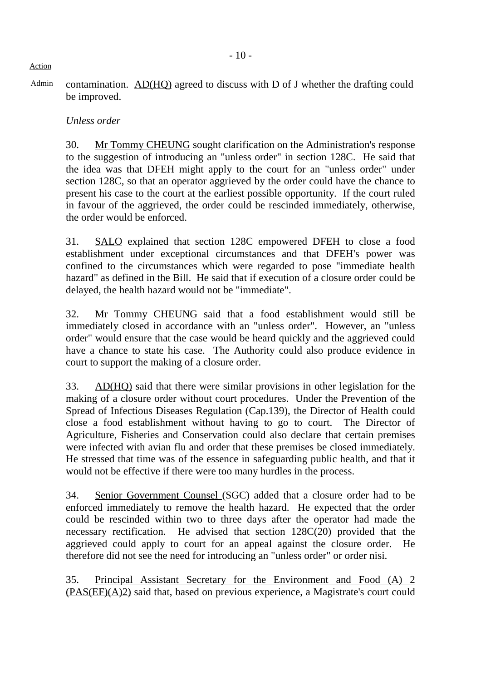#### *Unless order*

30. Mr Tommy CHEUNG sought clarification on the Administration's response to the suggestion of introducing an "unless order" in section 128C. He said that the idea was that DFEH might apply to the court for an "unless order" under section 128C, so that an operator aggrieved by the order could have the chance to present his case to the court at the earliest possible opportunity. If the court ruled in favour of the aggrieved, the order could be rescinded immediately, otherwise, the order would be enforced.

31. SALO explained that section 128C empowered DFEH to close a food establishment under exceptional circumstances and that DFEH's power was confined to the circumstances which were regarded to pose "immediate health hazard" as defined in the Bill. He said that if execution of a closure order could be delayed, the health hazard would not be "immediate".

32. Mr Tommy CHEUNG said that a food establishment would still be immediately closed in accordance with an "unless order". However, an "unless order" would ensure that the case would be heard quickly and the aggrieved could have a chance to state his case. The Authority could also produce evidence in court to support the making of a closure order.

33. AD(HQ) said that there were similar provisions in other legislation for the making of a closure order without court procedures. Under the Prevention of the Spread of Infectious Diseases Regulation (Cap.139), the Director of Health could close a food establishment without having to go to court. The Director of Agriculture, Fisheries and Conservation could also declare that certain premises were infected with avian flu and order that these premises be closed immediately. He stressed that time was of the essence in safeguarding public health, and that it would not be effective if there were too many hurdles in the process.

34. Senior Government Counsel (SGC) added that a closure order had to be enforced immediately to remove the health hazard. He expected that the order could be rescinded within two to three days after the operator had made the necessary rectification. He advised that section 128C(20) provided that the aggrieved could apply to court for an appeal against the closure order. He therefore did not see the need for introducing an "unless order" or order nisi.

35. Principal Assistant Secretary for the Environment and Food (A) 2 (PAS(EF)(A)2) said that, based on previous experience, a Magistrate's court could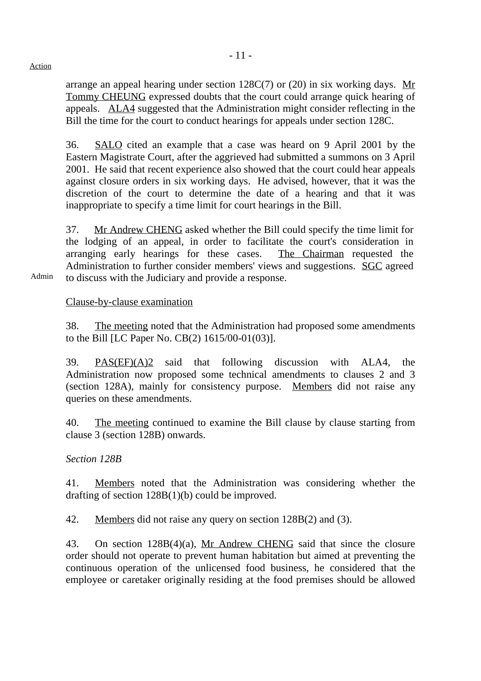arrange an appeal hearing under section 128C(7) or (20) in six working days. Mr Tommy CHEUNG expressed doubts that the court could arrange quick hearing of appeals. ALA4 suggested that the Administration might consider reflecting in the Bill the time for the court to conduct hearings for appeals under section 128C.

36. SALO cited an example that a case was heard on 9 April 2001 by the Eastern Magistrate Court, after the aggrieved had submitted a summons on 3 April 2001. He said that recent experience also showed that the court could hear appeals against closure orders in six working days. He advised, however, that it was the discretion of the court to determine the date of a hearing and that it was inappropriate to specify a time limit for court hearings in the Bill.

37. Mr Andrew CHENG asked whether the Bill could specify the time limit for the lodging of an appeal, in order to facilitate the court's consideration in arranging early hearings for these cases. The Chairman requested the Administration to further consider members' views and suggestions. SGC agreed to discuss with the Judiciary and provide a response.

Clause-by-clause examination

38. The meeting noted that the Administration had proposed some amendments to the Bill [LC Paper No. CB(2) 1615/00-01(03)].

39. PAS(EF)(A)2 said that following discussion with ALA4, the Administration now proposed some technical amendments to clauses 2 and 3 (section 128A), mainly for consistency purpose. Members did not raise any queries on these amendments.

40. The meeting continued to examine the Bill clause by clause starting from clause 3 (section 128B) onwards.

## *Section 128B*

41. Members noted that the Administration was considering whether the drafting of section 128B(1)(b) could be improved.

42. Members did not raise any query on section 128B(2) and (3).

43. On section 128B(4)(a), Mr Andrew CHENG said that since the closure order should not operate to prevent human habitation but aimed at preventing the continuous operation of the unlicensed food business, he considered that the employee or caretaker originally residing at the food premises should be allowed

Admin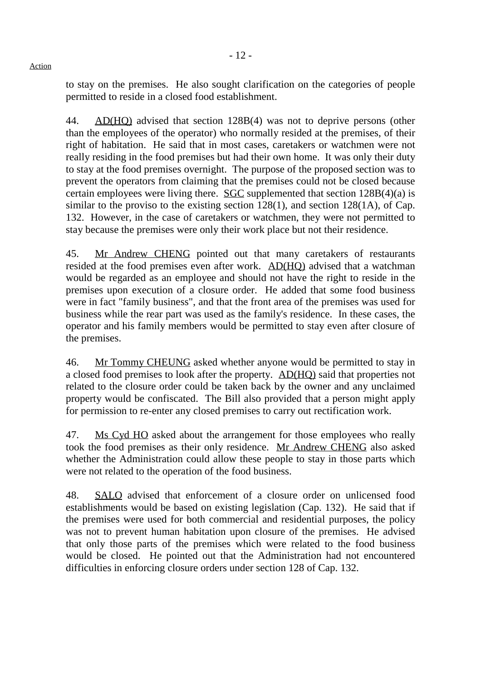to stay on the premises. He also sought clarification on the categories of people permitted to reside in a closed food establishment.

44. AD(HQ) advised that section 128B(4) was not to deprive persons (other than the employees of the operator) who normally resided at the premises, of their right of habitation. He said that in most cases, caretakers or watchmen were not really residing in the food premises but had their own home. It was only their duty to stay at the food premises overnight. The purpose of the proposed section was to prevent the operators from claiming that the premises could not be closed because certain employees were living there. SGC supplemented that section  $128B(4)(a)$  is similar to the proviso to the existing section  $128(1)$ , and section  $128(1)$ , of Cap. 132. However, in the case of caretakers or watchmen, they were not permitted to stay because the premises were only their work place but not their residence.

45. Mr Andrew CHENG pointed out that many caretakers of restaurants resided at the food premises even after work. AD(HQ) advised that a watchman would be regarded as an employee and should not have the right to reside in the premises upon execution of a closure order. He added that some food business were in fact "family business", and that the front area of the premises was used for business while the rear part was used as the family's residence. In these cases, the operator and his family members would be permitted to stay even after closure of the premises.

46. Mr Tommy CHEUNG asked whether anyone would be permitted to stay in a closed food premises to look after the property. AD(HQ) said that properties not related to the closure order could be taken back by the owner and any unclaimed property would be confiscated. The Bill also provided that a person might apply for permission to re-enter any closed premises to carry out rectification work.

47. Ms Cyd HO asked about the arrangement for those employees who really took the food premises as their only residence. Mr Andrew CHENG also asked whether the Administration could allow these people to stay in those parts which were not related to the operation of the food business.

48. SALO advised that enforcement of a closure order on unlicensed food establishments would be based on existing legislation (Cap. 132). He said that if the premises were used for both commercial and residential purposes, the policy was not to prevent human habitation upon closure of the premises. He advised that only those parts of the premises which were related to the food business would be closed. He pointed out that the Administration had not encountered difficulties in enforcing closure orders under section 128 of Cap. 132.